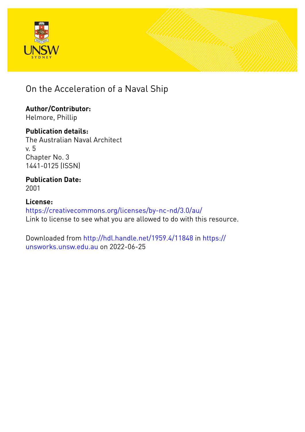



On the Acceleration of a Naval Ship

**Author/Contributor:** Helmore, Phillip

**Publication details:** The Australian Naval Architect v. 5 Chapter No. 3 1441-0125 (ISSN)

**Publication Date:** 2001

**License:** <https://creativecommons.org/licenses/by-nc-nd/3.0/au/> Link to license to see what you are allowed to do with this resource.

Downloaded from <http://hdl.handle.net/1959.4/11848> in [https://](https://unsworks.unsw.edu.au) [unsworks.unsw.edu.au](https://unsworks.unsw.edu.au) on 2022-06-25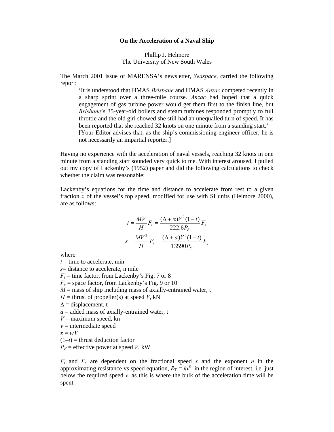## **On the Acceleration of a Naval Ship**

Phillip J. Helmore The University of New South Wales

The March 2001 issue of MARENSA's newsletter, *Seaspace*, carried the following report:

 'It is understood that HMAS *Brisbane* and HMAS *Anzac* competed recently in a sharp sprint over a three-mile course. *Anzac* had hoped that a quick engagement of gas turbine power would get them first to the finish line, but *Brisbane*'s 35-year-old boilers and steam turbines responded promptly to full throttle and the old girl showed she still had an unequalled turn of speed. It has been reported that she reached 32 knots on one minute from a standing start.' [Your Editor advises that, as the ship's commissioning engineer officer, he is not necessarily an impartial reporter.]

Having no experience with the acceleration of naval vessels, reaching 32 knots in one minute from a standing start sounded very quick to me. With interest aroused, I pulled out my copy of Lackenby's (1952) paper and did the following calculations to check whether the claim was reasonable:

Lackenby's equations for the time and distance to accelerate from rest to a given fraction  $x$  of the vessel's top speed, modified for use with SI units (Helmore 2000), are as follows:

$$
t = \frac{MV}{H}F_t = \frac{(\Delta + \alpha)V^2(1-t)}{222.6P_E}F_s
$$

$$
s = \frac{MV^2}{H}F_s = \frac{(\Delta + \alpha)V^3(1-t)}{13590P_E}F_s
$$

where

- $t =$  time to accelerate, min
- *s*= distance to accelerate, n mile
- $F_t$  = time factor, from Lackenby's Fig. 7 or 8
- $F_s$  = space factor, from Lackenby's Fig. 9 or 10
- $M =$  mass of ship including mass of axially-entrained water, t
- $H =$  thrust of propeller(s) at speed *V*, kN
- $\Delta$  = displacement, t
- $a =$  added mass of axially-entrained water, t
- $V =$  maximum speed, kn
- $v =$  intermediate speed

$$
x = \nu/V
$$

 $(1-t)$  = thrust deduction factor

 $P<sub>E</sub>$  = effective power at speed *V*, kW

 $F_t$  and  $F_s$  are dependent on the fractional speed  $x$  and the exponent  $n$  in the approximating resistance vs speed equation,  $R_T = k v^n$ , in the region of interest, i.e. just below the required speed  $v$ , as this is where the bulk of the acceleration time will be spent.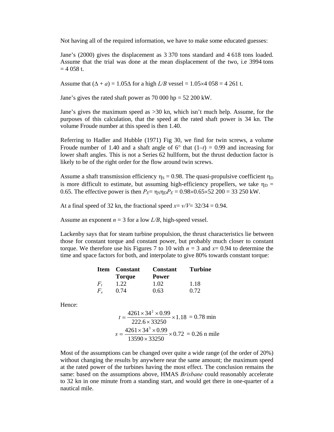Not having all of the required information, we have to make some educated guesses:

Jane's (2000) gives the displacement as 3 370 tons standard and 4 618 tons loaded. Assume that the trial was done at the mean displacement of the two, i.e 3994 tons  $= 4058$  t.

Assume that  $(\Delta + a) = 1.05\Delta$  for a high  $L/B$  vessel = 1.05×4 058 = 4.261 t.

Jane's gives the rated shaft power as 70 000 hp = 52 200 kW.

Jane's gives the maximum speed as >30 kn, which isn't much help. Assume, for the purposes of this calculation, that the speed at the rated shaft power is 34 kn. The volume Froude number at this speed is then 1.40.

Referring to Hadler and Hubble (1971) Fig 30, we find for twin screws, a volume Froude number of 1.40 and a shaft angle of  $6^{\circ}$  that  $(1-t) = 0.99$  and increasing for lower shaft angles. This is not a Series 62 hullform, but the thrust deduction factor is likely to be of the right order for the flow around twin screws.

Assume a shaft transmission efficiency  $\eta_s = 0.98$ . The quasi-propulsive coefficient  $\eta_D$ is more difficult to estimate, but assuming high-efficiency propellers, we take  $\eta_D =$ 0.65. The effective power is then  $P_E = \eta_S \eta_D P_E = 0.98 \times 0.65 \times 52\ 200 = 33\ 250 \text{ kW}$ .

At a final speed of 32 kn, the fractional speed  $x = v/V = 32/34 = 0.94$ .

Assume an exponent  $n = 3$  for a low  $L/B$ , high-speed vessel.

Lackenby says that for steam turbine propulsion, the thrust characteristics lie between those for constant torque and constant power, but probably much closer to constant torque. We therefore use his Figures 7 to 10 with  $n = 3$  and  $x = 0.94$  to determine the time and space factors for both, and interpolate to give 80% towards constant torque:

|  | <b>Item</b> Constant | <b>Constant</b> | Turbine |
|--|----------------------|-----------------|---------|
|  | <b>Torque</b>        | <b>Power</b>    |         |
|  | 1.22                 | 1.02            | 1.18    |
|  | 0.74                 | 0.63            | 0.72    |

Hence:

$$
t = \frac{4261 \times 34^{2} \times 0.99}{222.6 \times 33250} \times 1.18 = 0.78 \text{ min}
$$

$$
s = \frac{4261 \times 34^{3} \times 0.99}{13590 \times 33250} \times 0.72 = 0.26 \text{ n mile}
$$

Most of the assumptions can be changed over quite a wide range (of the order of 20%) without changing the results by anywhere near the same amount; the maximum speed at the rated power of the turbines having the most effect. The conclusion remains the same: based on the assumptions above, HMAS *Brisbane* could reasonably accelerate to 32 kn in one minute from a standing start, and would get there in one-quarter of a nautical mile.